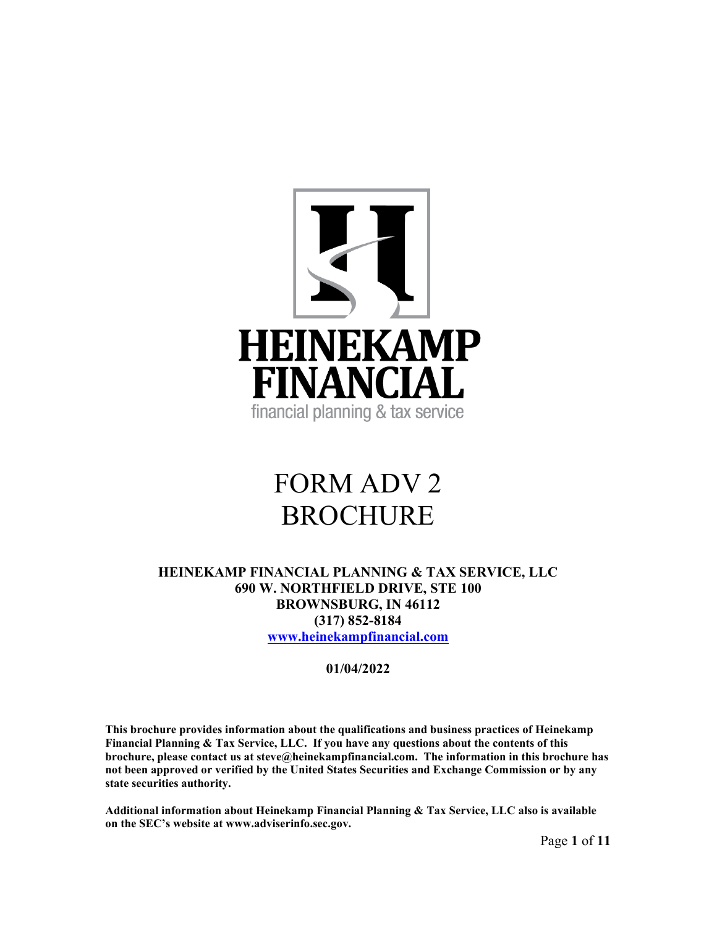

# FORM ADV 2 BROCHURE

### HEINEKAMP FINANCIAL PLANNING & TAX SERVICE, LLC 690 W. NORTHFIELD DRIVE, STE 100 BROWNSBURG, IN 46112 (317) 852-8184 www.heinekampfinancial.com

### 01/04/2022

This brochure provides information about the qualifications and business practices of Heinekamp Financial Planning & Tax Service, LLC. If you have any questions about the contents of this brochure, please contact us at steve@heinekampfinancial.com. The information in this brochure has not been approved or verified by the United States Securities and Exchange Commission or by any state securities authority.

Additional information about Heinekamp Financial Planning & Tax Service, LLC also is available on the SEC's website at www.adviserinfo.sec.gov.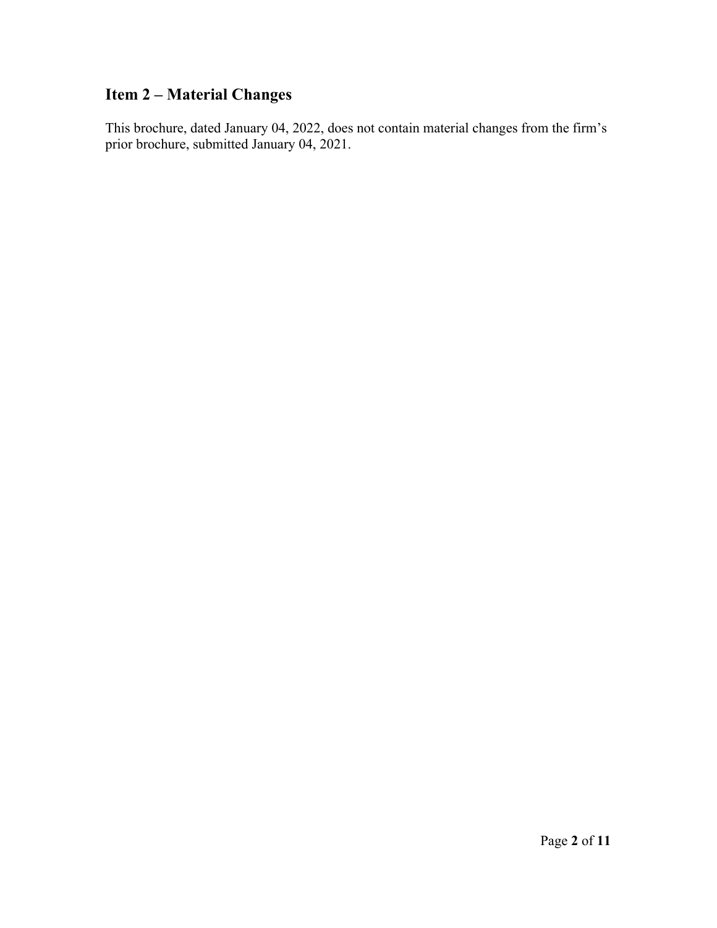# Item 2 – Material Changes

This brochure, dated January 04, 2022, does not contain material changes from the firm's prior brochure, submitted January 04, 2021.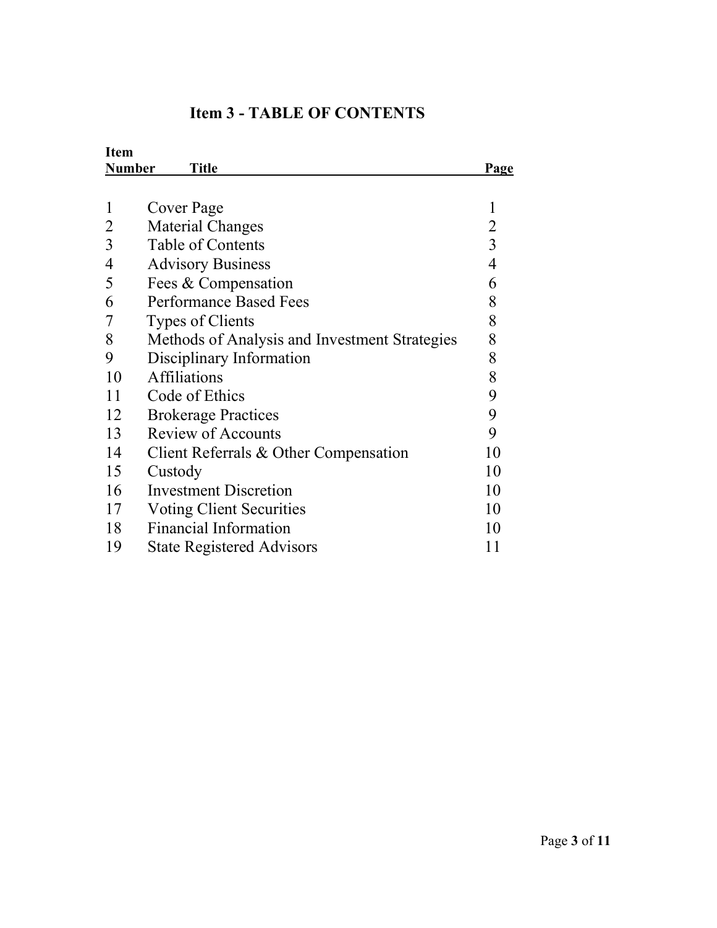| <b>Item</b>    |                                               |                |  |  |
|----------------|-----------------------------------------------|----------------|--|--|
| <b>Number</b>  | <b>Title</b>                                  | Page           |  |  |
|                |                                               |                |  |  |
|                | Cover Page                                    | 1              |  |  |
| $\overline{2}$ | Material Changes                              | $\overline{2}$ |  |  |
| $\overline{3}$ | Table of Contents                             | $\overline{3}$ |  |  |
| $\overline{4}$ | <b>Advisory Business</b>                      | $\overline{4}$ |  |  |
| 5              | Fees & Compensation                           | 6              |  |  |
| 6              | <b>Performance Based Fees</b>                 | 8              |  |  |
| 7              | Types of Clients                              | 8              |  |  |
| 8              | Methods of Analysis and Investment Strategies | 8              |  |  |
| 9              | Disciplinary Information                      | 8              |  |  |
| 10             | <b>Affiliations</b>                           | 8              |  |  |
| 11             | Code of Ethics                                | 9              |  |  |
| 12             | <b>Brokerage Practices</b>                    | 9              |  |  |
| 13             | <b>Review of Accounts</b>                     | 9              |  |  |
| 14             | Client Referrals & Other Compensation         | 10             |  |  |
| 15             | Custody                                       | 10             |  |  |
| 16             | <b>Investment Discretion</b>                  | 10             |  |  |
| 17             | <b>Voting Client Securities</b>               | 10             |  |  |
| 18             | <b>Financial Information</b>                  | 10             |  |  |
| 19             | <b>State Registered Advisors</b>              | 11             |  |  |

# Item 3 - TABLE OF CONTENTS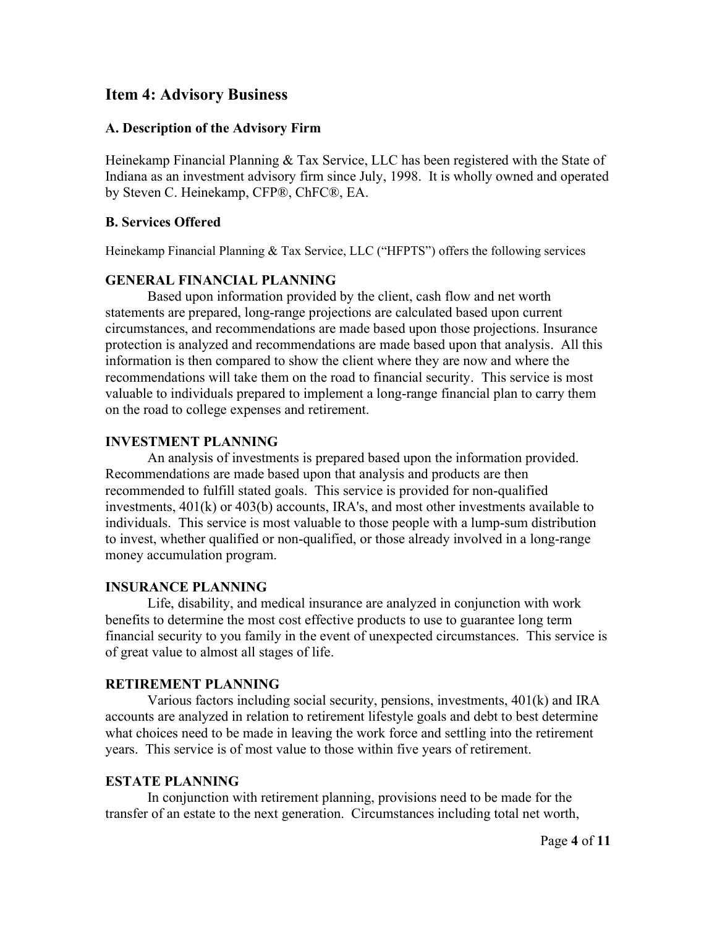### Item 4: Advisory Business

#### A. Description of the Advisory Firm

Heinekamp Financial Planning & Tax Service, LLC has been registered with the State of Indiana as an investment advisory firm since July, 1998. It is wholly owned and operated by Steven C. Heinekamp, CFP®, ChFC®, EA.

#### B. Services Offered

Heinekamp Financial Planning & Tax Service, LLC ("HFPTS") offers the following services

#### GENERAL FINANCIAL PLANNING

Based upon information provided by the client, cash flow and net worth statements are prepared, long-range projections are calculated based upon current circumstances, and recommendations are made based upon those projections. Insurance protection is analyzed and recommendations are made based upon that analysis. All this information is then compared to show the client where they are now and where the recommendations will take them on the road to financial security. This service is most valuable to individuals prepared to implement a long-range financial plan to carry them on the road to college expenses and retirement.

#### INVESTMENT PLANNING

An analysis of investments is prepared based upon the information provided. Recommendations are made based upon that analysis and products are then recommended to fulfill stated goals. This service is provided for non-qualified investments, 401(k) or 403(b) accounts, IRA's, and most other investments available to individuals. This service is most valuable to those people with a lump-sum distribution to invest, whether qualified or non-qualified, or those already involved in a long-range money accumulation program.

#### INSURANCE PLANNING

 Life, disability, and medical insurance are analyzed in conjunction with work benefits to determine the most cost effective products to use to guarantee long term financial security to you family in the event of unexpected circumstances. This service is of great value to almost all stages of life.

#### RETIREMENT PLANNING

 Various factors including social security, pensions, investments, 401(k) and IRA accounts are analyzed in relation to retirement lifestyle goals and debt to best determine what choices need to be made in leaving the work force and settling into the retirement years. This service is of most value to those within five years of retirement.

#### ESTATE PLANNING

 In conjunction with retirement planning, provisions need to be made for the transfer of an estate to the next generation. Circumstances including total net worth,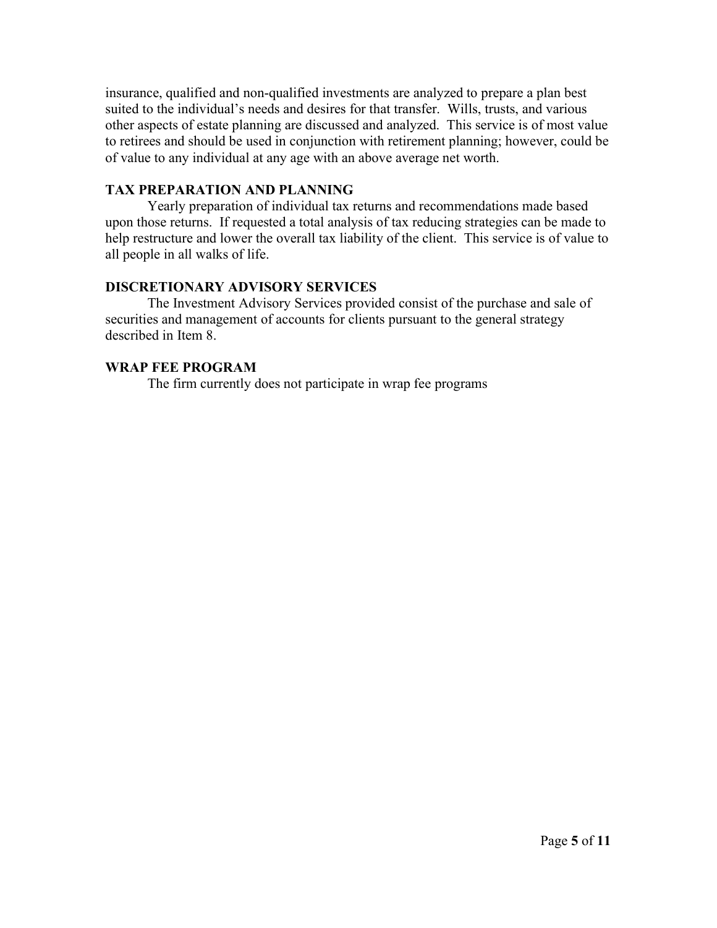insurance, qualified and non-qualified investments are analyzed to prepare a plan best suited to the individual's needs and desires for that transfer. Wills, trusts, and various other aspects of estate planning are discussed and analyzed. This service is of most value to retirees and should be used in conjunction with retirement planning; however, could be of value to any individual at any age with an above average net worth.

### TAX PREPARATION AND PLANNING

 Yearly preparation of individual tax returns and recommendations made based upon those returns. If requested a total analysis of tax reducing strategies can be made to help restructure and lower the overall tax liability of the client. This service is of value to all people in all walks of life.

### DISCRETIONARY ADVISORY SERVICES

The Investment Advisory Services provided consist of the purchase and sale of securities and management of accounts for clients pursuant to the general strategy described in Item 8.

### WRAP FEE PROGRAM

The firm currently does not participate in wrap fee programs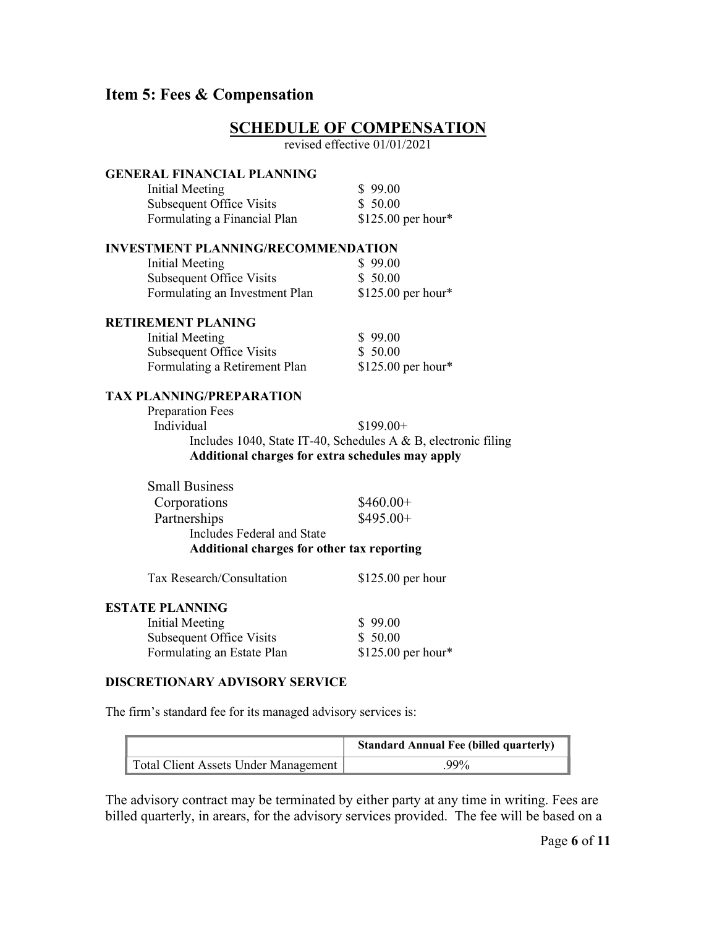### Item 5: Fees & Compensation

### SCHEDULE OF COMPENSATION

revised effective 01/01/2021

### GENERAL FINANCIAL PLANNING Initial Meeting \$ 99.00 Subsequent Office Visits \$ 50.00 Formulating a Financial Plan \$125.00 per hour\* INVESTMENT PLANNING/RECOMMENDATION Initial Meeting \$ 99.00 Subsequent Office Visits \$ 50.00 Formulating an Investment Plan \$125.00 per hour\* RETIREMENT PLANING Initial Meeting \$ 99.00 Subsequent Office Visits \$ 50.00

Formulating a Retirement Plan \$125.00 per hour\*

#### TAX PLANNING/PREPARATION

| <b>Preparation Fees</b>                                        |            |  |  |
|----------------------------------------------------------------|------------|--|--|
| Individual                                                     | $$199.00+$ |  |  |
| Includes 1040, State IT-40, Schedules A & B, electronic filing |            |  |  |
| Additional charges for extra schedules may apply               |            |  |  |
|                                                                |            |  |  |

| <b>Small Business</b>                      |                   |
|--------------------------------------------|-------------------|
| Corporations                               | $$460.00+$        |
| Partnerships                               | $$495.00+$        |
| Includes Federal and State                 |                   |
| Additional charges for other tax reporting |                   |
| Tax Research/Consultation                  | \$125.00 per hour |

#### ESTATE PLANNING

| Initial Meeting            | \$99.00             |
|----------------------------|---------------------|
| Subsequent Office Visits   | \$ 50.00            |
| Formulating an Estate Plan | $$125.00$ per hour* |

#### DISCRETIONARY ADVISORY SERVICE

The firm's standard fee for its managed advisory services is:

|                                      | <b>Standard Annual Fee (billed quarterly)</b> |
|--------------------------------------|-----------------------------------------------|
| Total Client Assets Under Management | .99%                                          |

The advisory contract may be terminated by either party at any time in writing. Fees are billed quarterly, in arears, for the advisory services provided. The fee will be based on a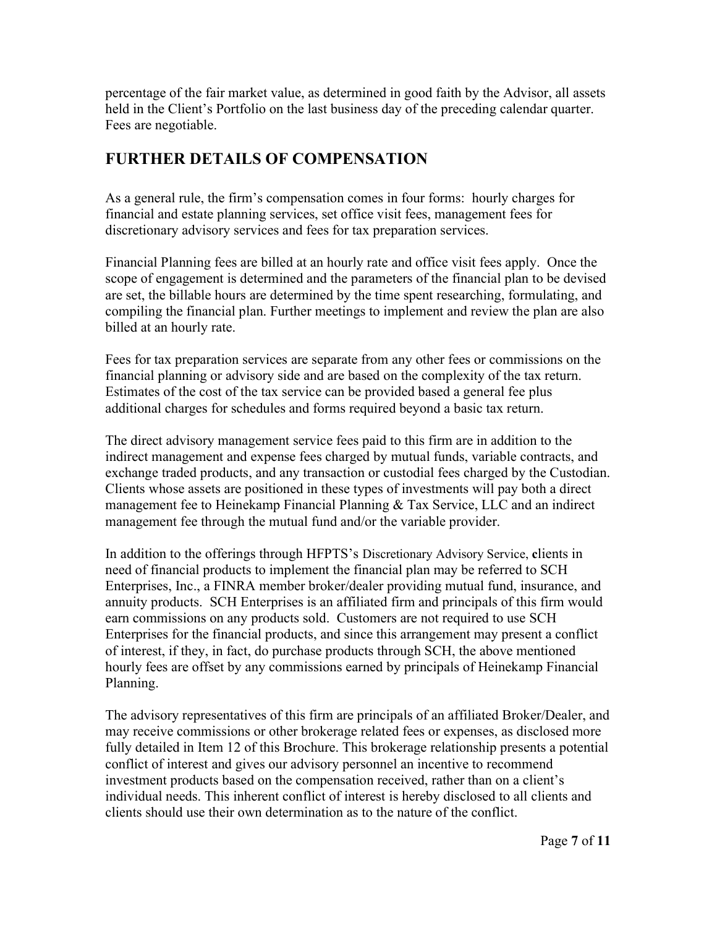percentage of the fair market value, as determined in good faith by the Advisor, all assets held in the Client's Portfolio on the last business day of the preceding calendar quarter. Fees are negotiable.

# FURTHER DETAILS OF COMPENSATION

As a general rule, the firm's compensation comes in four forms: hourly charges for financial and estate planning services, set office visit fees, management fees for discretionary advisory services and fees for tax preparation services.

Financial Planning fees are billed at an hourly rate and office visit fees apply. Once the scope of engagement is determined and the parameters of the financial plan to be devised are set, the billable hours are determined by the time spent researching, formulating, and compiling the financial plan. Further meetings to implement and review the plan are also billed at an hourly rate.

Fees for tax preparation services are separate from any other fees or commissions on the financial planning or advisory side and are based on the complexity of the tax return. Estimates of the cost of the tax service can be provided based a general fee plus additional charges for schedules and forms required beyond a basic tax return.

The direct advisory management service fees paid to this firm are in addition to the indirect management and expense fees charged by mutual funds, variable contracts, and exchange traded products, and any transaction or custodial fees charged by the Custodian. Clients whose assets are positioned in these types of investments will pay both a direct management fee to Heinekamp Financial Planning & Tax Service, LLC and an indirect management fee through the mutual fund and/or the variable provider.

In addition to the offerings through HFPTS's Discretionary Advisory Service, clients in need of financial products to implement the financial plan may be referred to SCH Enterprises, Inc., a FINRA member broker/dealer providing mutual fund, insurance, and annuity products. SCH Enterprises is an affiliated firm and principals of this firm would earn commissions on any products sold. Customers are not required to use SCH Enterprises for the financial products, and since this arrangement may present a conflict of interest, if they, in fact, do purchase products through SCH, the above mentioned hourly fees are offset by any commissions earned by principals of Heinekamp Financial Planning.

The advisory representatives of this firm are principals of an affiliated Broker/Dealer, and may receive commissions or other brokerage related fees or expenses, as disclosed more fully detailed in Item 12 of this Brochure. This brokerage relationship presents a potential conflict of interest and gives our advisory personnel an incentive to recommend investment products based on the compensation received, rather than on a client's individual needs. This inherent conflict of interest is hereby disclosed to all clients and clients should use their own determination as to the nature of the conflict.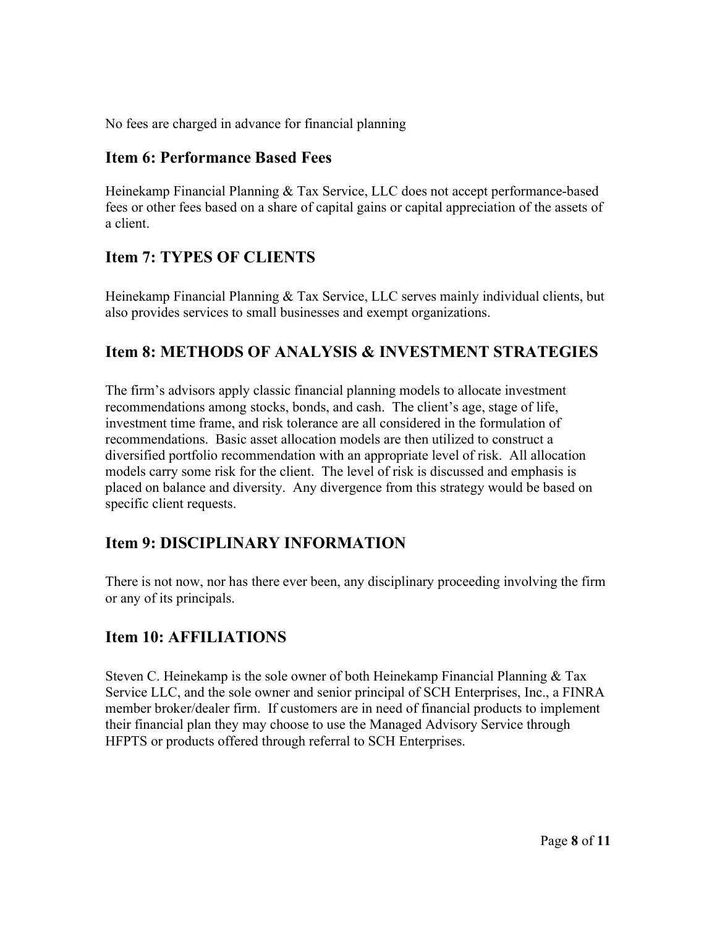No fees are charged in advance for financial planning

### Item 6: Performance Based Fees

Heinekamp Financial Planning & Tax Service, LLC does not accept performance-based fees or other fees based on a share of capital gains or capital appreciation of the assets of a client.

### Item 7: TYPES OF CLIENTS

Heinekamp Financial Planning & Tax Service, LLC serves mainly individual clients, but also provides services to small businesses and exempt organizations.

### Item 8: METHODS OF ANALYSIS & INVESTMENT STRATEGIES

The firm's advisors apply classic financial planning models to allocate investment recommendations among stocks, bonds, and cash. The client's age, stage of life, investment time frame, and risk tolerance are all considered in the formulation of recommendations. Basic asset allocation models are then utilized to construct a diversified portfolio recommendation with an appropriate level of risk. All allocation models carry some risk for the client. The level of risk is discussed and emphasis is placed on balance and diversity. Any divergence from this strategy would be based on specific client requests.

# Item 9: DISCIPLINARY INFORMATION

There is not now, nor has there ever been, any disciplinary proceeding involving the firm or any of its principals.

# Item 10: AFFILIATIONS

Steven C. Heinekamp is the sole owner of both Heinekamp Financial Planning & Tax Service LLC, and the sole owner and senior principal of SCH Enterprises, Inc., a FINRA member broker/dealer firm. If customers are in need of financial products to implement their financial plan they may choose to use the Managed Advisory Service through HFPTS or products offered through referral to SCH Enterprises.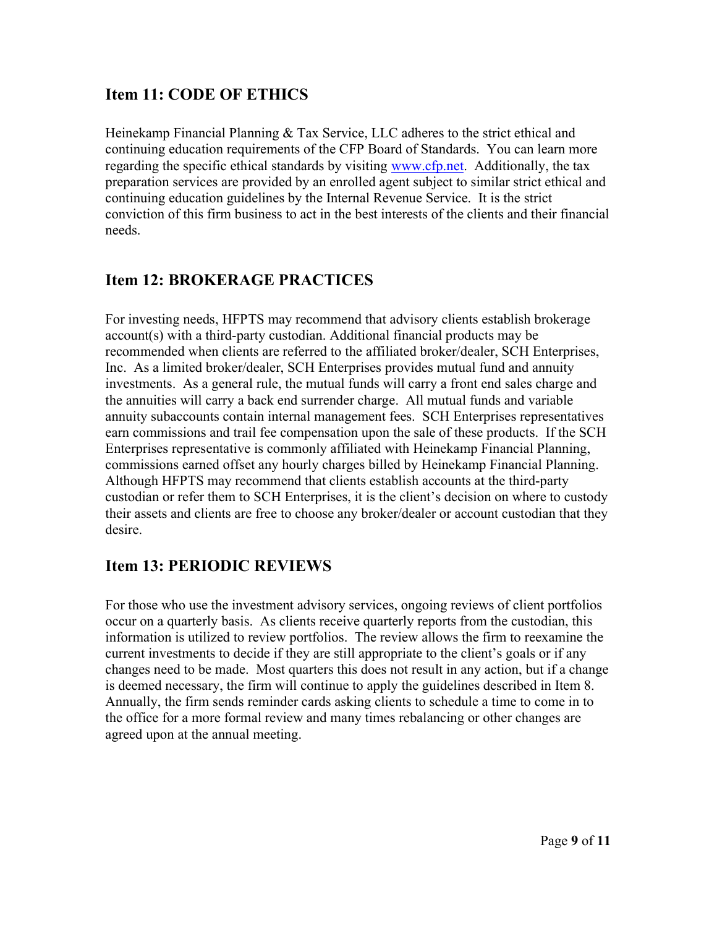### Item 11: CODE OF ETHICS

Heinekamp Financial Planning & Tax Service, LLC adheres to the strict ethical and continuing education requirements of the CFP Board of Standards. You can learn more regarding the specific ethical standards by visiting www.cfp.net. Additionally, the tax preparation services are provided by an enrolled agent subject to similar strict ethical and continuing education guidelines by the Internal Revenue Service. It is the strict conviction of this firm business to act in the best interests of the clients and their financial needs.

### Item 12: BROKERAGE PRACTICES

For investing needs, HFPTS may recommend that advisory clients establish brokerage account(s) with a third-party custodian. Additional financial products may be recommended when clients are referred to the affiliated broker/dealer, SCH Enterprises, Inc. As a limited broker/dealer, SCH Enterprises provides mutual fund and annuity investments. As a general rule, the mutual funds will carry a front end sales charge and the annuities will carry a back end surrender charge. All mutual funds and variable annuity subaccounts contain internal management fees. SCH Enterprises representatives earn commissions and trail fee compensation upon the sale of these products. If the SCH Enterprises representative is commonly affiliated with Heinekamp Financial Planning, commissions earned offset any hourly charges billed by Heinekamp Financial Planning. Although HFPTS may recommend that clients establish accounts at the third-party custodian or refer them to SCH Enterprises, it is the client's decision on where to custody their assets and clients are free to choose any broker/dealer or account custodian that they desire.

# Item 13: PERIODIC REVIEWS

For those who use the investment advisory services, ongoing reviews of client portfolios occur on a quarterly basis. As clients receive quarterly reports from the custodian, this information is utilized to review portfolios. The review allows the firm to reexamine the current investments to decide if they are still appropriate to the client's goals or if any changes need to be made. Most quarters this does not result in any action, but if a change is deemed necessary, the firm will continue to apply the guidelines described in Item 8. Annually, the firm sends reminder cards asking clients to schedule a time to come in to the office for a more formal review and many times rebalancing or other changes are agreed upon at the annual meeting.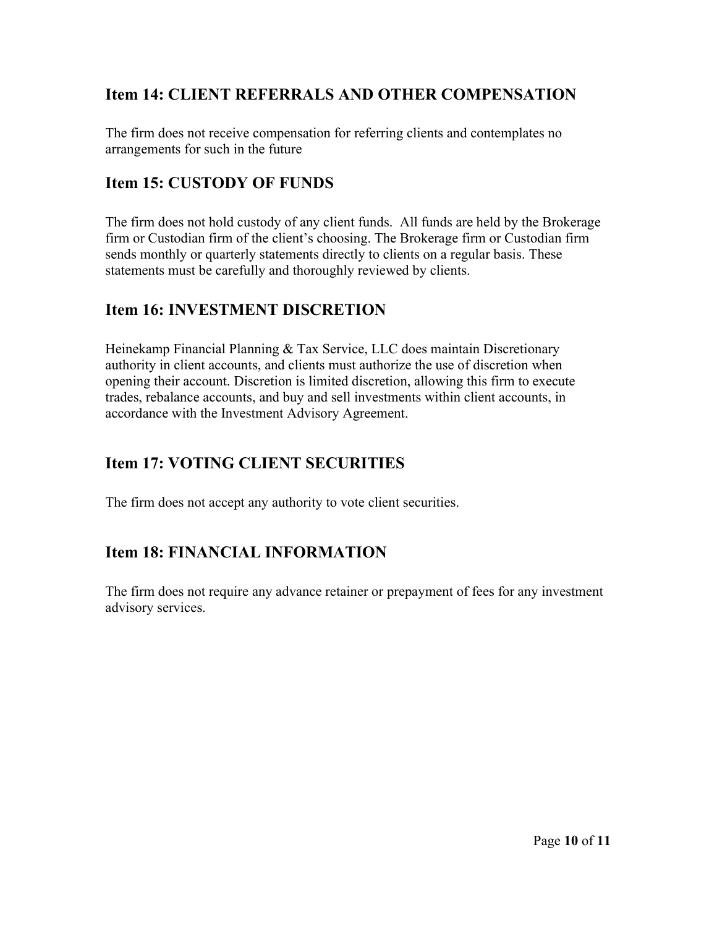### Item 14: CLIENT REFERRALS AND OTHER COMPENSATION

The firm does not receive compensation for referring clients and contemplates no arrangements for such in the future

### Item 15: CUSTODY OF FUNDS

The firm does not hold custody of any client funds. All funds are held by the Brokerage firm or Custodian firm of the client's choosing. The Brokerage firm or Custodian firm sends monthly or quarterly statements directly to clients on a regular basis. These statements must be carefully and thoroughly reviewed by clients.

### Item 16: INVESTMENT DISCRETION

Heinekamp Financial Planning & Tax Service, LLC does maintain Discretionary authority in client accounts, and clients must authorize the use of discretion when opening their account. Discretion is limited discretion, allowing this firm to execute trades, rebalance accounts, and buy and sell investments within client accounts, in accordance with the Investment Advisory Agreement.

# Item 17: VOTING CLIENT SECURITIES

The firm does not accept any authority to vote client securities.

# Item 18: FINANCIAL INFORMATION

The firm does not require any advance retainer or prepayment of fees for any investment advisory services.